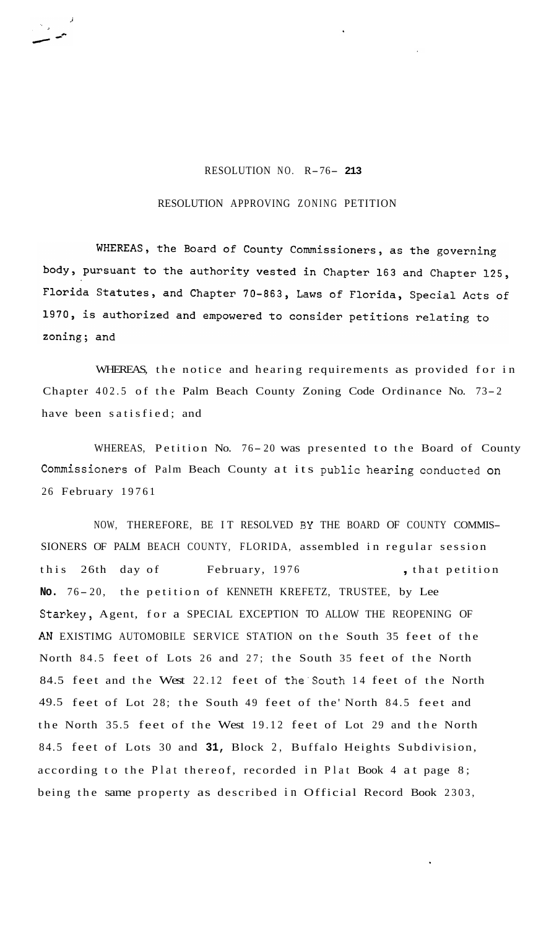## RESOLUTION NO. R-76- **<sup>213</sup>**

## RESOLUTION APPROVING ZONING PETITION

WHEREAS, the Board of County Commissioners, as the governing body, pursuant to the authority vested in Chapter 163 and Chapter 125, Florida Statutes, and Chapter 70-863, Laws of Florida, Special Acts of 1970, is authorized and empowered to consider petitions relating to zoning; and

WHEREAS, the notice and hearing requirements as provided for in Chapter 402.5 of the Palm Beach County Zoning Code Ordinance No. 73- <sup>2</sup> have been satisfied; and

WHEREAS, Petition No. 76-20 was presented to the Board of County Commissioners of Palm Beach County at its public hearing conducted on 26 February 19761

NOW, THEREFORE, BE IT RESOLVED **BY** THE BOARD OF COUNTY COMMIS-SIONERS OF PALM BEACH COUNTY, FLORIDA, assembled in regular session this 26th day of February, 1976 , that petition No. 76-20, the petition of KENNETH KREFETZ, TRUSTEE, by Lee Starkey, Agent, for a SPECIAL EXCEPTION TO ALLOW THE REOPENING OF AN EXISTIMG AUTOMOBILE SERVICE STATION on the South 35 feet of the North 84.5 feet of Lots 26 and 27; the South 35 feet of the North 84.5 feet and the West 22.12 feet of the'South 14 feet of the North 49.5 feet of Lot 28; the South 49 feet of the' North 84.5 feet and the North 35.5 feet of the West 19.12 feet of Lot 29 and the North 84.5 feet of Lots 30 and **31,** Block 2, Buffalo Heights Subdivision, according to the Plat thereof, recorded in Plat Book 4 at page 8; being the same property as described in Official Record Book 2303,